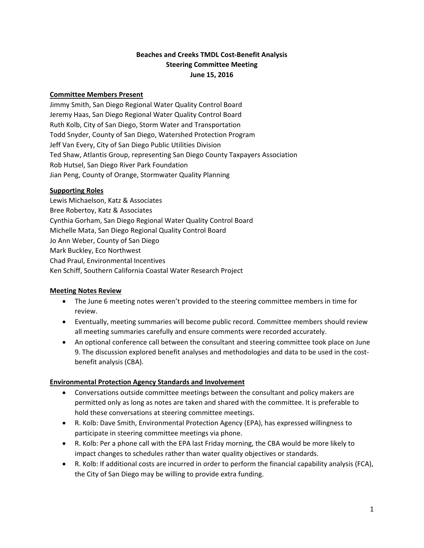## **Beaches and Creeks TMDL Cost‐Benefit Analysis Steering Committee Meeting June 15, 2016**

### **Committee Members Present**

Jimmy Smith, San Diego Regional Water Quality Control Board Jeremy Haas, San Diego Regional Water Quality Control Board Ruth Kolb, City of San Diego, Storm Water and Transportation Todd Snyder, County of San Diego, Watershed Protection Program Jeff Van Every, City of San Diego Public Utilities Division Ted Shaw, Atlantis Group, representing San Diego County Taxpayers Association Rob Hutsel, San Diego River Park Foundation Jian Peng, County of Orange, Stormwater Quality Planning

#### **Supporting Roles**

Lewis Michaelson, Katz & Associates Bree Robertoy, Katz & Associates Cynthia Gorham, San Diego Regional Water Quality Control Board Michelle Mata, San Diego Regional Quality Control Board Jo Ann Weber, County of San Diego Mark Buckley, Eco Northwest Chad Praul, Environmental Incentives Ken Schiff, Southern California Coastal Water Research Project

### **Meeting Notes Review**

- The June 6 meeting notes weren't provided to the steering committee members in time for review.
- Eventually, meeting summaries will become public record. Committee members should review all meeting summaries carefully and ensure comments were recorded accurately.
- An optional conference call between the consultant and steering committee took place on June 9. The discussion explored benefit analyses and methodologies and data to be used in the cost‐ benefit analysis (CBA).

### **Environmental Protection Agency Standards and Involvement**

- Conversations outside committee meetings between the consultant and policy makers are permitted only as long as notes are taken and shared with the committee. It is preferable to hold these conversations at steering committee meetings.
- R. Kolb: Dave Smith, Environmental Protection Agency (EPA), has expressed willingness to participate in steering committee meetings via phone.
- R. Kolb: Per a phone call with the EPA last Friday morning, the CBA would be more likely to impact changes to schedules rather than water quality objectives or standards.
- R. Kolb: If additional costs are incurred in order to perform the financial capability analysis (FCA), the City of San Diego may be willing to provide extra funding.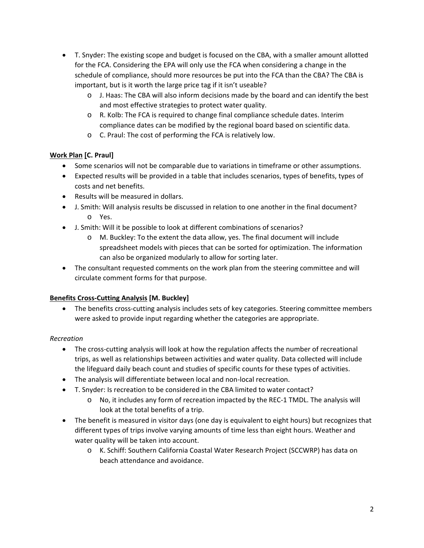- T. Snyder: The existing scope and budget is focused on the CBA, with a smaller amount allotted for the FCA. Considering the EPA will only use the FCA when considering a change in the schedule of compliance, should more resources be put into the FCA than the CBA? The CBA is important, but is it worth the large price tag if it isn't useable?
	- o J. Haas: The CBA will also inform decisions made by the board and can identify the best and most effective strategies to protect water quality.
	- o R. Kolb: The FCA is required to change final compliance schedule dates. Interim compliance dates can be modified by the regional board based on scientific data.
	- o C. Praul: The cost of performing the FCA is relatively low.

# **Work Plan [C. Praul]**

- Some scenarios will not be comparable due to variations in timeframe or other assumptions.
- Expected results will be provided in a table that includes scenarios, types of benefits, types of costs and net benefits.
- Results will be measured in dollars.
- J. Smith: Will analysis results be discussed in relation to one another in the final document? o Yes.
- J. Smith: Will it be possible to look at different combinations of scenarios?
	- o M. Buckley: To the extent the data allow, yes. The final document will include spreadsheet models with pieces that can be sorted for optimization. The information can also be organized modularly to allow for sorting later.
- The consultant requested comments on the work plan from the steering committee and will circulate comment forms for that purpose.

# **Benefits Cross‐Cutting Analysis [M. Buckley]**

• The benefits cross-cutting analysis includes sets of key categories. Steering committee members were asked to provide input regarding whether the categories are appropriate.

# *Recreation*

- The cross-cutting analysis will look at how the regulation affects the number of recreational trips, as well as relationships between activities and water quality. Data collected will include the lifeguard daily beach count and studies of specific counts for these types of activities.
- The analysis will differentiate between local and non-local recreation.
- T. Snyder: Is recreation to be considered in the CBA limited to water contact?
	- o No, it includes any form of recreation impacted by the REC‐1 TMDL. The analysis will look at the total benefits of a trip.
- The benefit is measured in visitor days (one day is equivalent to eight hours) but recognizes that different types of trips involve varying amounts of time less than eight hours. Weather and water quality will be taken into account.
	- o K. Schiff: Southern California Coastal Water Research Project (SCCWRP) has data on beach attendance and avoidance.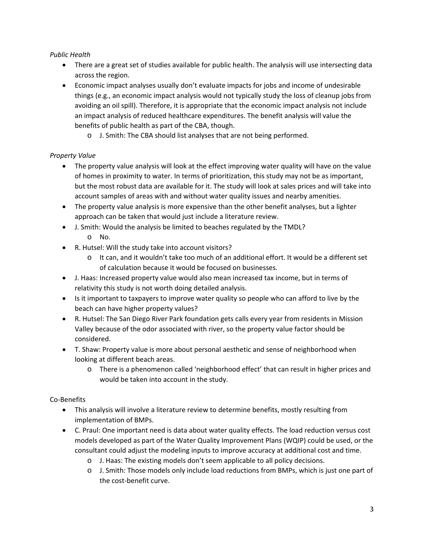## *Public Health*

- There are a great set of studies available for public health. The analysis will use intersecting data across the region.
- Economic impact analyses usually don't evaluate impacts for jobs and income of undesirable things (e.g., an economic impact analysis would not typically study the loss of cleanup jobs from avoiding an oil spill). Therefore, it is appropriate that the economic impact analysis not include an impact analysis of reduced healthcare expenditures. The benefit analysis will value the benefits of public health as part of the CBA, though.
	- o J. Smith: The CBA should list analyses that are not being performed.

# *Property Value*

- The property value analysis will look at the effect improving water quality will have on the value of homes in proximity to water. In terms of prioritization, this study may not be as important, but the most robust data are available for it. The study will look at sales prices and will take into account samples of areas with and without water quality issues and nearby amenities.
- The property value analysis is more expensive than the other benefit analyses, but a lighter approach can be taken that would just include a literature review.
- J. Smith: Would the analysis be limited to beaches regulated by the TMDL?
	- o No.
- R. Hutsel: Will the study take into account visitors?
	- o It can, and it wouldn't take too much of an additional effort. It would be a different set of calculation because it would be focused on businesses.
- J. Haas: Increased property value would also mean increased tax income, but in terms of relativity this study is not worth doing detailed analysis.
- Is it important to taxpayers to improve water quality so people who can afford to live by the beach can have higher property values?
- R. Hutsel: The San Diego River Park foundation gets calls every year from residents in Mission Valley because of the odor associated with river, so the property value factor should be considered.
- T. Shaw: Property value is more about personal aesthetic and sense of neighborhood when looking at different beach areas.
	- o There is a phenomenon called 'neighborhood effect' that can result in higher prices and would be taken into account in the study.

# Co‐Benefits

- This analysis will involve a literature review to determine benefits, mostly resulting from implementation of BMPs.
- C. Praul: One important need is data about water quality effects. The load reduction versus cost models developed as part of the Water Quality Improvement Plans (WQIP) could be used, or the consultant could adjust the modeling inputs to improve accuracy at additional cost and time.
	- o J. Haas: The existing models don't seem applicable to all policy decisions.
	- o J. Smith: Those models only include load reductions from BMPs, which is just one part of the cost‐benefit curve.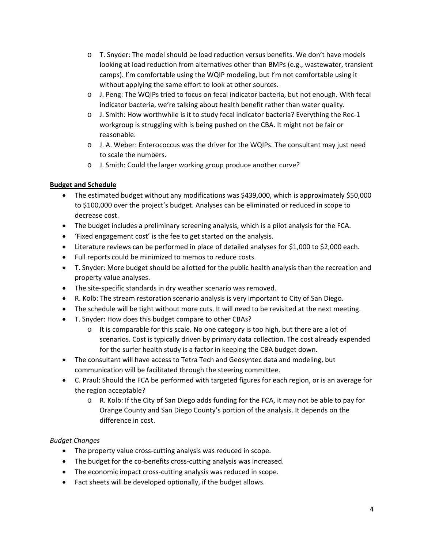- o T. Snyder: The model should be load reduction versus benefits. We don't have models looking at load reduction from alternatives other than BMPs (e.g., wastewater, transient camps). I'm comfortable using the WQIP modeling, but I'm not comfortable using it without applying the same effort to look at other sources.
- o J. Peng: The WQIPs tried to focus on fecal indicator bacteria, but not enough. With fecal indicator bacteria, we're talking about health benefit rather than water quality.
- o J. Smith: How worthwhile is it to study fecal indicator bacteria? Everything the Rec‐1 workgroup is struggling with is being pushed on the CBA. It might not be fair or reasonable.
- o J. A. Weber: Enterococcus was the driver for the WQIPs. The consultant may just need to scale the numbers.
- o J. Smith: Could the larger working group produce another curve?

## **Budget and Schedule**

- The estimated budget without any modifications was \$439,000, which is approximately \$50,000 to \$100,000 over the project's budget. Analyses can be eliminated or reduced in scope to decrease cost.
- The budget includes a preliminary screening analysis, which is a pilot analysis for the FCA.
- 'Fixed engagement cost' is the fee to get started on the analysis.
- Literature reviews can be performed in place of detailed analyses for \$1,000 to \$2,000 each.
- Full reports could be minimized to memos to reduce costs.
- T. Snyder: More budget should be allotted for the public health analysis than the recreation and property value analyses.
- The site-specific standards in dry weather scenario was removed.
- R. Kolb: The stream restoration scenario analysis is very important to City of San Diego.
- The schedule will be tight without more cuts. It will need to be revisited at the next meeting.
- T. Snyder: How does this budget compare to other CBAs?
	- o It is comparable for this scale. No one category is too high, but there are a lot of scenarios. Cost is typically driven by primary data collection. The cost already expended for the surfer health study is a factor in keeping the CBA budget down.
- The consultant will have access to Tetra Tech and Geosyntec data and modeling, but communication will be facilitated through the steering committee.
- C. Praul: Should the FCA be performed with targeted figures for each region, or is an average for the region acceptable?
	- o R. Kolb: If the City of San Diego adds funding for the FCA, it may not be able to pay for Orange County and San Diego County's portion of the analysis. It depends on the difference in cost.

### *Budget Changes*

- The property value cross‐cutting analysis was reduced in scope.
- The budget for the co-benefits cross-cutting analysis was increased.
- The economic impact cross‐cutting analysis was reduced in scope.
- Fact sheets will be developed optionally, if the budget allows.